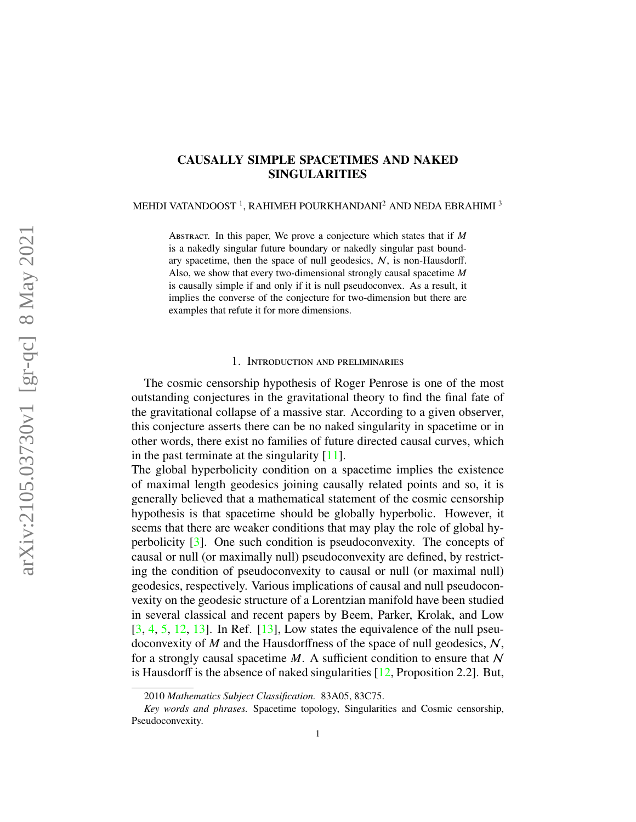# CAUSALLY SIMPLE SPACETIMES AND NAKED SINGULARITIES

MEHDI VATANDOOST  $^1$ , RAHIMEH POURKHANDANI $^2$  AND NEDA EBRAHIMI  $^3$ 

Abstract. In this paper, We prove a conjecture which states that if *M* is a nakedly singular future boundary or nakedly singular past boundary spacetime, then the space of null geodesics,  $N$ , is non-Hausdorff. Also, we show that every two-dimensional strongly causal spacetime *M* is causally simple if and only if it is null pseudoconvex. As a result, it implies the converse of the conjecture for two-dimension but there are examples that refute it for more dimensions.

### 1. Introduction and preliminaries

The cosmic censorship hypothesis of Roger Penrose is one of the most outstanding conjectures in the gravitational theory to find the final fate of the gravitational collapse of a massive star. According to a given observer, this conjecture asserts there can be no naked singularity in spacetime or in other words, there exist no families of future directed causal curves, which in the past terminate at the singularity [\[11\]](#page-15-0).

The global hyperbolicity condition on a spacetime implies the existence of maximal length geodesics joining causally related points and so, it is generally believed that a mathematical statement of the cosmic censorship hypothesis is that spacetime should be globally hyperbolic. However, it seems that there are weaker conditions that may play the role of global hyperbolicity [\[3\]](#page-15-1). One such condition is pseudoconvexity. The concepts of causal or null (or maximally null) pseudoconvexity are defined, by restricting the condition of pseudoconvexity to causal or null (or maximal null) geodesics, respectively. Various implications of causal and null pseudoconvexity on the geodesic structure of a Lorentzian manifold have been studied in several classical and recent papers by Beem, Parker, Krolak, and Low  $[3, 4, 5, 12, 13]$  $[3, 4, 5, 12, 13]$  $[3, 4, 5, 12, 13]$  $[3, 4, 5, 12, 13]$  $[3, 4, 5, 12, 13]$  $[3, 4, 5, 12, 13]$  $[3, 4, 5, 12, 13]$  $[3, 4, 5, 12, 13]$  $[3, 4, 5, 12, 13]$ . In Ref.  $[13]$ , Low states the equivalence of the null pseudoconvexity of *M* and the Hausdorffness of the space of null geodesics, N, for a strongly causal spacetime  $M$ . A sufficient condition to ensure that  $N$ is Hausdorff is the absence of naked singularities [\[12,](#page-15-4) Proposition 2.2]. But,

<sup>2010</sup> *Mathematics Subject Classification.* 83A05, 83C75.

*Key words and phrases.* Spacetime topology, Singularities and Cosmic censorship, Pseudoconvexity.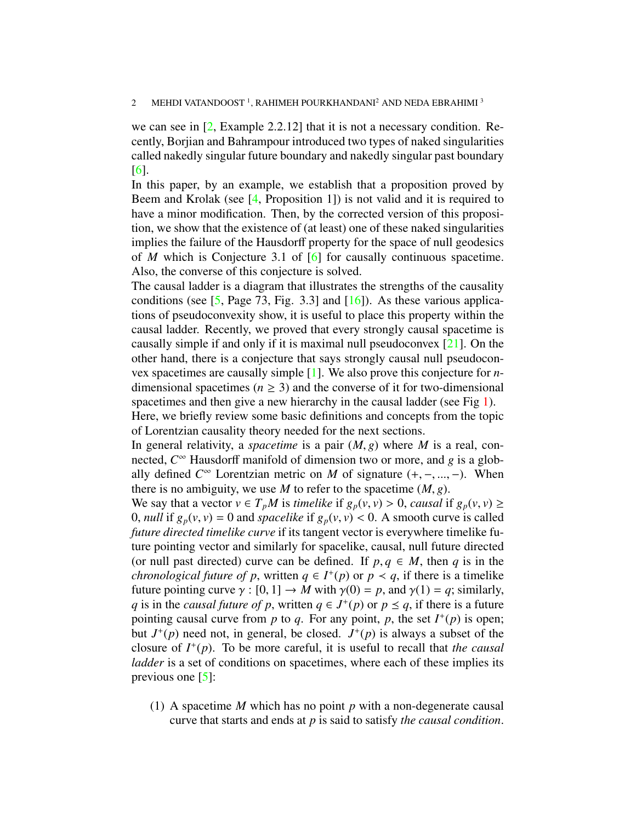#### 2 MEHDI VATANDOOST  $^1$ , RAHIMEH POURKHANDANI $^2$  AND NEDA EBRAHIMI  $^3$

we can see in [\[2,](#page-15-6) Example 2.2.12] that it is not a necessary condition. Recently, Borjian and Bahrampour introduced two types of naked singularities called nakedly singular future boundary and nakedly singular past boundary [\[6\]](#page-15-7).

In this paper, by an example, we establish that a proposition proved by Beem and Krolak (see [\[4,](#page-15-2) Proposition 1]) is not valid and it is required to have a minor modification. Then, by the corrected version of this proposition, we show that the existence of (at least) one of these naked singularities implies the failure of the Hausdorff property for the space of null geodesics of *M* which is Conjecture 3.1 of [\[6\]](#page-15-7) for causally continuous spacetime. Also, the converse of this conjecture is solved.

The causal ladder is a diagram that illustrates the strengths of the causality conditions (see  $[5, Page\ 73, Fig. 3.3]$  $[5, Page\ 73, Fig. 3.3]$  and  $[16]$ ). As these various applications of pseudoconvexity show, it is useful to place this property within the causal ladder. Recently, we proved that every strongly causal spacetime is causally simple if and only if it is maximal null pseudoconvex [\[21\]](#page-16-0). On the other hand, there is a conjecture that says strongly causal null pseudoconvex spacetimes are causally simple [\[1\]](#page-15-9). We also prove this conjecture for *n*dimensional spacetimes ( $n \geq 3$ ) and the converse of it for two-dimensional spacetimes and then give a new hierarchy in the causal ladder (see Fig [1\)](#page-4-0). Here, we briefly review some basic definitions and concepts from the topic of Lorentzian causality theory needed for the next sections.

In general relativity, a *spacetime* is a pair (*M*, *<sup>g</sup>*) where *<sup>M</sup>* is a real, connected, *C* <sup>∞</sup> Hausdorff manifold of dimension two or more, and *g* is a globally defined  $C^{\infty}$  Lorentzian metric on *M* of signature  $(+, -, ..., -)$ . When there is no ambiguity we use *M* to refer to the spacetime  $(M, \alpha)$ there is no ambiguity, we use *M* to refer to the spacetime  $(M, g)$ .

We say that a vector  $v \in T_pM$  is *timelike* if  $g_p(v, v) > 0$ , *causal* if  $g_p(v, v) \ge$ 0, *null* if  $g_p(v, v) = 0$  and *spacelike* if  $g_p(v, v) < 0$ . A smooth curve is called *future directed timelike curve* if its tangent vector is everywhere timelike future pointing vector and similarly for spacelike, causal, null future directed (or null past directed) curve can be defined. If  $p, q \in M$ , then *q* is in the *chronological future of p*, written  $q \in I^+(p)$  or  $p \lt q$ , if there is a timelike future pointing curve  $\gamma : [0, 1] \to M$  with  $\gamma(0) = p$ , and  $\gamma(1) = q$ ; similarly, *q* is in the *causal future of p*, written  $q \in J^+(p)$  or  $p \leq q$ , if there is a future pointing causal curve from *n* to *a*. For any point *n* the set  $J^+(p)$  is open: pointing causal curve from  $p$  to  $q$ . For any point,  $p$ , the set  $I^+(p)$  is open; but  $J^+(p)$  need not, in general, be closed.  $J^+(p)$  is always a subset of the closure of  $I^+(p)$ . To be more careful, it is useful to recall that *the causal ladder* is a set of conditions on spacetimes, where each of these implies its previous one [\[5\]](#page-15-3):

(1) A spacetime *M* which has no point *p* with a non-degenerate causal curve that starts and ends at *p* is said to satisfy *the causal condition*.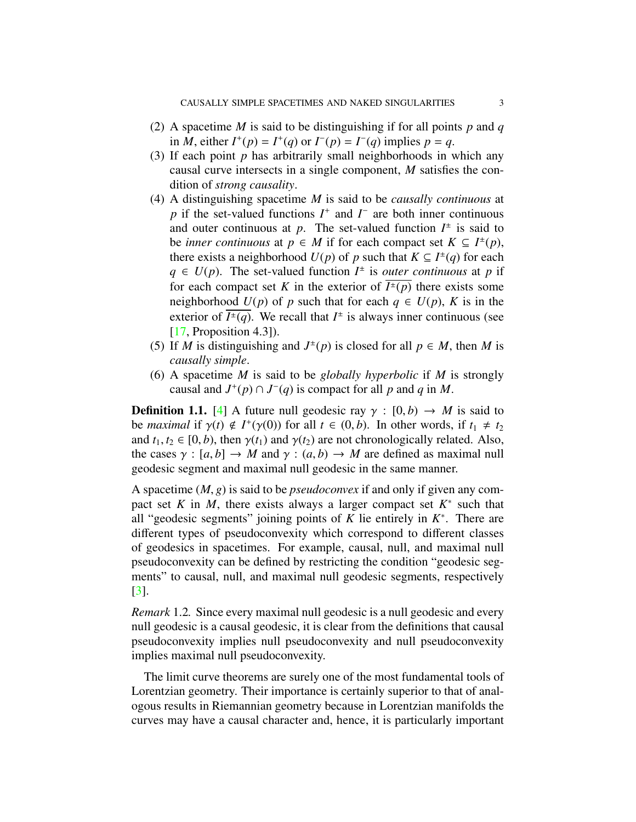- (2) A spacetime *M* is said to be distinguishing if for all points *p* and *q* in *M*, either  $I^+(p) = I^+(q)$  or  $I^-(p) = I^-(q)$  implies  $p = q$ .
- (3) If each point *p* has arbitrarily small neighborhoods in which any causal curve intersects in a single component, *M* satisfies the condition of *strong causality*.
- (4) A distinguishing spacetime *M* is said to be *causally continuous* at *p* if the set-valued functions *I*<sup>+</sup> and *I*<sup>−</sup> are both inner continuous and outer continuous at p. The set-valued function  $I^{\pm}$  is said to be *inner continuous* at  $p \in M$  if for each compact set  $K \subseteq I^{\pm}(p)$ , there exists a neighborhood  $U(p)$  of p such that  $K \subseteq I^{\pm}(q)$  for each  $q \in U(p)$ . The set-valued function  $I^{\pm}$  is *outer continuous* at *p* if for each compact set *K* in the exterior of  $\overline{I^{\pm}(p)}$  there exists some neighborhood  $U(p)$  of *p* such that for each  $q \in U(p)$ , *K* is in the exterior of  $\overline{I^{\pm}(q)}$ . We recall that  $I^{\pm}$  is always inner continuous (see [\[17,](#page-15-10) Proposition 4.3]).
- (5) If *M* is distinguishing and  $J^{\pm}(p)$  is closed for all  $p \in M$ , then *M* is *causally simple*.
- (6) A spacetime *M* is said to be *globally hyperbolic* if *M* is strongly causal and  $J^+(p) \cap J^-(q)$  is compact for all p and q in M.

<span id="page-2-0"></span>**Definition 1.1.** [\[4\]](#page-15-2) A future null geodesic ray  $\gamma : [0, b) \rightarrow M$  is said to be *maximal* if  $\gamma(t) \notin I^+(\gamma(0))$  for all  $t \in (0, b)$ . In other words, if  $t_1 \neq t_2$ <br>and  $t_1, t_2 \in [0, b)$  then  $\gamma(t_1)$  and  $\gamma(t_2)$  are not chronologically related. Also and  $t_1, t_2 \in [0, b)$ , then  $\gamma(t_1)$  and  $\gamma(t_2)$  are not chronologically related. Also, the cases  $\gamma : [a, b] \to M$  and  $\gamma : (a, b) \to M$  are defined as maximal null geodesic segment and maximal null geodesic in the same manner.

A spacetime (*M*, *<sup>g</sup>*) is said to be *pseudoconvex* if and only if given any compact set  $K$  in  $M$ , there exists always a larger compact set  $K^*$  such that all "geodesic segments" joining points of  $K$  lie entirely in  $K^*$ . There are different types of pseudoconvexity which correspond to different classes of geodesics in spacetimes. For example, causal, null, and maximal null pseudoconvexity can be defined by restricting the condition "geodesic segments" to causal, null, and maximal null geodesic segments, respectively [\[3\]](#page-15-1).

<span id="page-2-1"></span>*Remark* 1.2*.* Since every maximal null geodesic is a null geodesic and every null geodesic is a causal geodesic, it is clear from the definitions that causal pseudoconvexity implies null pseudoconvexity and null pseudoconvexity implies maximal null pseudoconvexity.

The limit curve theorems are surely one of the most fundamental tools of Lorentzian geometry. Their importance is certainly superior to that of analogous results in Riemannian geometry because in Lorentzian manifolds the curves may have a causal character and, hence, it is particularly important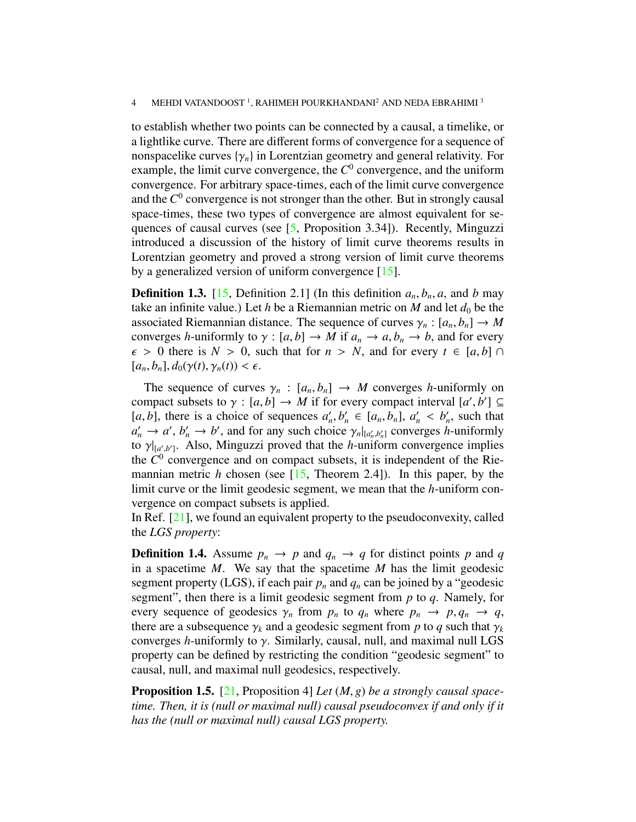#### 4 MEHDI VATANDOOST <sup>1</sup>, RAHIMEH POURKHANDANI<sup>2</sup> AND NEDA EBRAHIMI <sup>3</sup>

to establish whether two points can be connected by a causal, a timelike, or a lightlike curve. There are different forms of convergence for a sequence of nonspacelike curves  $\{\gamma_n\}$  in Lorentzian geometry and general relativity. For example, the limit curve convergence, the  $C^0$  convergence, and the uniform convergence. For arbitrary space-times, each of the limit curve convergence and the  $C^0$  convergence is not stronger than the other. But in strongly causal space-times, these two types of convergence are almost equivalent for sequences of causal curves (see [\[5,](#page-15-3) Proposition 3.34]). Recently, Minguzzi introduced a discussion of the history of limit curve theorems results in Lorentzian geometry and proved a strong version of limit curve theorems by a generalized version of uniform convergence [\[15\]](#page-15-11).

<span id="page-3-1"></span>**Definition 1.3.** [\[15,](#page-15-11) Definition 2.1] (In this definition  $a_n, b_n, a$ , and *b* may take an infinite value.) Let *h* be a Riemannian metric on *M* and let  $d_0$  be the associated Riemannian distance. The sequence of curves  $\gamma_n : [a_n, b_n] \to M$ converges *h*-uniformly to  $\gamma : [a, b] \to M$  if  $a_n \to a, b_n \to b$ , and for every  $\epsilon > 0$  there is  $N > 0$ , such that for  $n > N$ , and for every  $t \in [a, b]$  $[a_n, b_n], d_0(\gamma(t), \gamma_n(t)) < \epsilon.$ 

The sequence of curves  $\gamma_n : [a_n, b_n] \to M$  converges *h*-uniformly on compact subsets to  $\gamma : [a, b] \to M$  if for every compact interval  $[a', b'] \subseteq$ <br>[*a b*] there is a choice of sequences  $a'$   $b' \in [a, b]$   $a' < b'$  such that [*a*, *b*], there is a choice of sequences  $a'_n, b'_n \in [a_n, b_n]$ ,  $a'_n < b'_n$ , such that  $a' \rightarrow a'$  *b'*  $\rightarrow b'$  and for any such choice  $\gamma$  be the converges *h*-uniformly  $a'_n \to a'$ ,  $b'_n \to b'$ , and for any such choice  $\gamma_n|_{[a'_n, b'_n]}$  converges *h*-uniformly<br>to  $\gamma$ <sub>k the</sub> Also Minguzzi proved that the *h*-uniform convergence implies to  $\gamma|_{[a',b']}$ . Also, Minguzzi proved that the *h*-uniform convergence implies the  $C^0$  convergence and on compact subsets it is independent of the Riethe  $C<sup>0</sup>$  convergence and on compact subsets, it is independent of the Riemannian metric *h* chosen (see [\[15,](#page-15-11) Theorem 2.4]). In this paper, by the limit curve or the limit geodesic segment, we mean that the *h*-uniform convergence on compact subsets is applied.

In Ref.  $[21]$ , we found an equivalent property to the pseudoconvexity, called the *LGS property*:

<span id="page-3-2"></span>**Definition 1.4.** Assume  $p_n \to p$  and  $q_n \to q$  for distinct points p and q in a spacetime *M*. We say that the spacetime *M* has the limit geodesic segment property (LGS), if each pair  $p_n$  and  $q_n$  can be joined by a "geodesic segment", then there is a limit geodesic segment from *p* to *q*. Namely, for every sequence of geodesics  $\gamma_n$  from  $p_n$  to  $q_n$  where  $p_n \to p, q_n \to q$ , there are a subsequence  $\gamma_k$  and a geodesic segment from p to q such that  $\gamma_k$ converges *<sup>h</sup>*-uniformly to γ. Similarly, causal, null, and maximal null LGS property can be defined by restricting the condition "geodesic segment" to causal, null, and maximal null geodesics, respectively.

<span id="page-3-0"></span>Proposition 1.5. [\[21,](#page-16-0) Proposition 4] *Let* (*M*, *<sup>g</sup>*) *be a strongly causal spacetime. Then, it is (null or maximal null) causal pseudoconvex if and only if it has the (null or maximal null) causal LGS property.*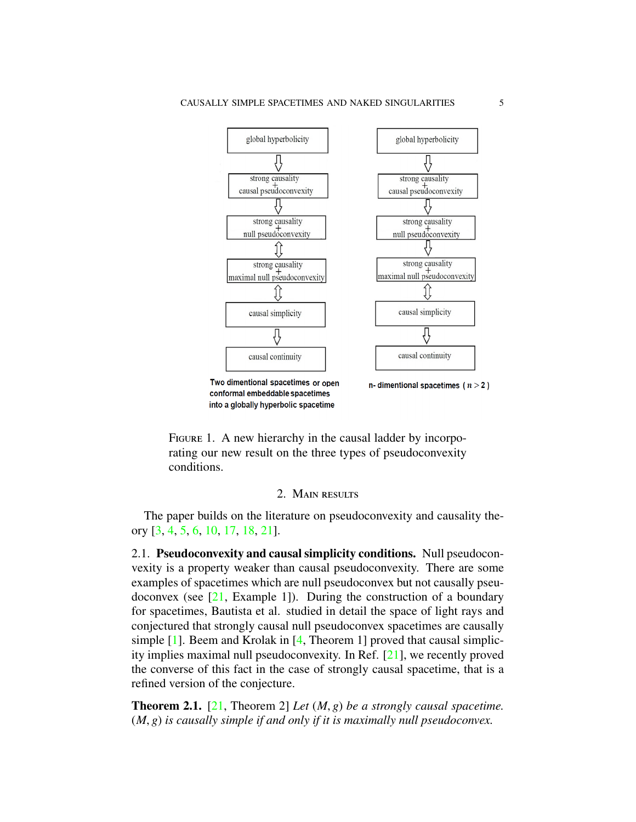

<span id="page-4-0"></span>FIGURE 1. A new hierarchy in the causal ladder by incorporating our new result on the three types of pseudoconvexity conditions.

## 2. MAIN RESULTS

The paper builds on the literature on pseudoconvexity and causality theory [\[3,](#page-15-1) [4,](#page-15-2) [5,](#page-15-3) [6,](#page-15-7) [10,](#page-15-12) [17,](#page-15-10) [18,](#page-15-13) [21\]](#page-16-0).

2.1. Pseudoconvexity and causal simplicity conditions. Null pseudoconvexity is a property weaker than causal pseudoconvexity. There are some examples of spacetimes which are null pseudoconvex but not causally pseudoconvex (see  $[21,$  Example 1]). During the construction of a boundary for spacetimes, Bautista et al. studied in detail the space of light rays and conjectured that strongly causal null pseudoconvex spacetimes are causally simple [\[1\]](#page-15-9). Beem and Krolak in [\[4,](#page-15-2) Theorem 1] proved that causal simplicity implies maximal null pseudoconvexity. In Ref. [\[21\]](#page-16-0), we recently proved the converse of this fact in the case of strongly causal spacetime, that is a refined version of the conjecture.

<span id="page-4-1"></span>Theorem 2.1. [\[21,](#page-16-0) Theorem 2] *Let* (*M*, *<sup>g</sup>*) *be a strongly causal spacetime.* (*M*, *<sup>g</sup>*) *is causally simple if and only if it is maximally null pseudoconvex.*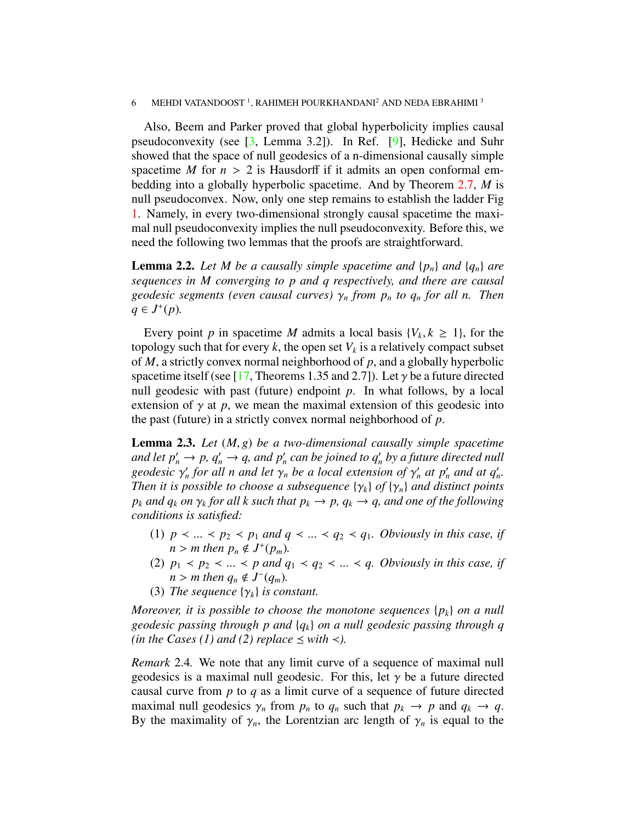#### 6 MEHDI VATANDOOST<sup>1</sup>, RAHIMEH POURKHANDANI<sup>2</sup> AND NEDA EBRAHIMI<sup>3</sup>

Also, Beem and Parker proved that global hyperbolicity implies causal pseudoconvexity (see [\[3,](#page-15-1) Lemma 3.2]). In Ref. [\[9\]](#page-15-14), Hedicke and Suhr showed that the space of null geodesics of a n-dimensional causally simple spacetime *M* for  $n > 2$  is Hausdorff if it admits an open conformal embedding into a globally hyperbolic spacetime. And by Theorem [2.7,](#page-10-0) *M* is null pseudoconvex. Now, only one step remains to establish the ladder Fig [1.](#page-4-0) Namely, in every two-dimensional strongly causal spacetime the maximal null pseudoconvexity implies the null pseudoconvexity. Before this, we need the following two lemmas that the proofs are straightforward.

<span id="page-5-1"></span>**Lemma 2.2.** Let M be a causally simple spacetime and  $\{p_n\}$  and  $\{q_n\}$  are *sequences in M converging to p and q respectively, and there are causal geodesic segments (even causal curves)* <sup>γ</sup>*<sup>n</sup> from p<sup>n</sup> to q<sup>n</sup> for all n. Then q* ∈ *J*<sup>+</sup>(*p*)*.* 

Every point *p* in spacetime *M* admits a local basis  $\{V_k, k \ge 1\}$ , for the pology such that for every *k* the open set  $V_k$  is a relatively compact subset topology such that for every  $k$ , the open set  $V_k$  is a relatively compact subset of *M*, a strictly convex normal neighborhood of *p*, and a globally hyperbolic spacetime itself (see [\[17,](#page-15-10) Theorems 1.35 and 2.7]). Let  $\gamma$  be a future directed null geodesic with past (future) endpoint *p*. In what follows, by a local extension of  $\gamma$  at  $p$ , we mean the maximal extension of this geodesic into the past (future) in a strictly convex normal neighborhood of *p*.

<span id="page-5-2"></span>Lemma 2.3. *Let* (*M*, *<sup>g</sup>*) *be a two-dimensional causally simple spacetime and let*  $p'_n \to p$ *,*  $q'_n \to q$ *, and*  $p'_n$  *can be joined to*  $q'_n$  *by a future directed null geodesic*  $\gamma'_n$  *for all n and let*  $\gamma_n$  *be a local extension of*  $\gamma'_n$  *at*  $p'_n$  *and at*  $q'_n$ *.<br>Then it is possible to choose a subsequence*  $\{\gamma_i\}$  of  $\{\gamma_j\}$  *and distinct points Then it is possible to choose a subsequence*  $\{\gamma_k\}$  *of*  $\{\gamma_n\}$  *and distinct points p*<sub>*k*</sub> *and*  $q_k$  *on*  $\gamma_k$  *for all k such that*  $p_k \to p$ ,  $q_k \to q$ , *and one of the following conditions is satisfied*: *conditions is satisfied:*

- (1)  $p \prec ... \prec p_2 \prec p_1$  *and*  $q \prec ... \prec q_2 \prec q_1$ . *Obviously in this case, if*  $n > m$  then  $p_n \notin J^+(p_m)$ .<br>  $p_1 \leq p_2 \leq \dots \leq p$  and a
- (2)  $p_1 \lt p_2 \lt ... \lt p$  and  $q_1 \lt q_2 \lt ... \lt q$ . Obviously in this case, if  $n > m$  then  $q_n \notin J^-(q_m)$ .<br>The sequence  $\{ \infty, \}$  is contained
- (3) *The sequence*  $\{\gamma_k\}$  *is constant.*

*Moreover, it is possible to choose the monotone sequences* {*pk*} *on a null geodesic passing through p and* {*qk*} *on a null geodesic passing through q (in the Cases (1) and (2) replace*  $\leq$  *with*  $\lt$ *).* 

<span id="page-5-0"></span>*Remark* 2.4*.* We note that any limit curve of a sequence of maximal null geodesics is a maximal null geodesic. For this, let  $\gamma$  be a future directed causal curve from *p* to *q* as a limit curve of a sequence of future directed maximal null geodesics  $\gamma_n$  from  $p_n$  to  $q_n$  such that  $p_k \to p$  and  $q_k \to q$ . By the maximality of  $\gamma_n$ , the Lorentzian arc length of  $\gamma_n$  is equal to the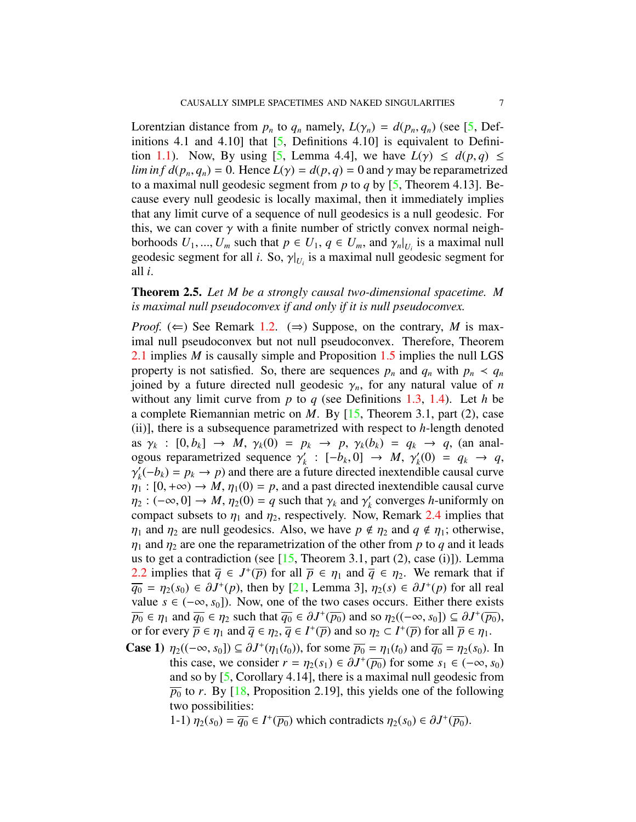Lorentzian distance from  $p_n$  to  $q_n$  namely,  $L(\gamma_n) = d(p_n, q_n)$  (see [\[5,](#page-15-3) Definitions 4.1 and 4.10] that  $[5,$  Definitions 4.10] is equivalent to Defini-tion [1.1\)](#page-2-0). Now, By using [\[5,](#page-15-3) Lemma 4.4], we have  $L(\gamma) \leq d(p,q) \leq$ *lim in f*  $d(p_n, q_n) = 0$ . Hence  $L(\gamma) = d(p, q) = 0$  and  $\gamma$  may be reparametrized to a maximal null geodesic segment from *p* to *q* by [\[5,](#page-15-3) Theorem 4.13]. Because every null geodesic is locally maximal, then it immediately implies that any limit curve of a sequence of null geodesics is a null geodesic. For this, we can cover  $\gamma$  with a finite number of strictly convex normal neighborhoods  $U_1, ..., U_m$  such that  $p \in U_1, q \in U_m$ , and  $\gamma_n|_{U_i}$  is a maximal null geodesic segment for all *i*. So  $\gamma|_{U_i}$  is a maximal null geodesic segment for geodesic segment for all *i*. So,  $\gamma|_{U_i}$  is a maximal null geodesic segment for all *i* all *i*.

# <span id="page-6-0"></span>Theorem 2.5. *Let M be a strongly causal two-dimensional spacetime. M is maximal null pseudoconvex if and only if it is null pseudoconvex.*

*Proof.* ( $\Leftarrow$ ) See Remark [1.2.](#page-2-1) ( $\Rightarrow$ ) Suppose, on the contrary, *M* is maximal null pseudoconvex but not null pseudoconvex. Therefore, Theorem [2.1](#page-4-1) implies *M* is causally simple and Proposition [1.5](#page-3-0) implies the null LGS property is not satisfied. So, there are sequences  $p_n$  and  $q_n$  with  $p_n < q_n$ joined by a future directed null geodesic  $\gamma_n$ , for any natural value of *n* without any limit curve from *p* to *q* (see Definitions [1.3,](#page-3-1) [1.4\)](#page-3-2). Let *h* be a complete Riemannian metric on *M*. By [\[15,](#page-15-11) Theorem 3.1, part (2), case (ii)], there is a subsequence parametrized with respect to *h*-length denoted as  $\gamma_k : [0, b_k] \to M$ ,  $\gamma_k(0) = p_k \to p$ ,  $\gamma_k(b_k) = q_k \to q$ , (an anal-<br>coous reparametrized sequence  $\gamma' : [-b, 0] \to M$ ,  $\gamma'(0) = q_k \to q$ ogous reparametrized sequence  $\gamma'_k$ <br> $\gamma'(-h_k) = n_k \rightarrow n$  and there are a 1  $\gamma_k' : [-b_k, 0] \to M, \gamma_k'$ <br>future directed inextend  $q_k(0) = q_k \to q,$  $\eta_1 : [0, +\infty) \to M$ ,  $\eta_1(0) = p$ , and a past directed inextendible causal curve<br> $\eta_2 : (-\infty, 0] \to M$ ,  $\eta_2(0) = a$  such that  $\gamma_1$  and  $\gamma_2'$  converges *h*-uniformly on  $\prime$  $h_k'(-b_k) = p_k \rightarrow p$  and there are a future directed inextendible causal curve  $\eta_2 : (-\infty, 0] \to M$ ,  $\eta_2(0) = q$  such that  $\gamma_k$  and  $\gamma'_k$ <br>compact subsets to *n*, and *n*<sub>c</sub> respectively. Now *k* converges *h*-uniformly on compact subsets to  $\eta_1$  and  $\eta_2$ , respectively. Now, Remark [2.4](#page-5-0) implies that  $\eta_1$  and  $\eta_2$  are null geodesics. Also, we have  $p \notin \eta_2$  and  $q \notin \eta_1$ ; otherwise,  $\eta_1$  and  $\eta_2$  are one the reparametrization of the other from p to q and it leads us to get a contradiction (see  $[15,$  Theorem 3.1, part  $(2)$ , case  $(i)$ ]). Lemma [2.2](#page-5-1) implies that  $\overline{q}$  ∈ *J*<sup>+</sup>( $\overline{p}$ ) for all  $\overline{p}$  ∈  $\eta_1$  and  $\overline{q}$  ∈  $\eta_2$ . We remark that if  $\overline{q_0} = n_2(s_0) \in \partial I^+(n)$  then by [21] I emma 31  $n_2(s) \in \partial I^+(n)$  for all real  $\overline{q_0} = \eta_2(s_0) \in \partial J^+(p)$ , then by [\[21,](#page-16-0) Lemma 3],  $\eta_2(s) \in \partial J^+(p)$  for all real value  $s \in (-\infty, s_0]$ . Now one of the two cases occurs. Fither there exists value  $s \in (-\infty, s_0]$ ). Now, one of the two cases occurs. Either there exists  $\overline{p_0} \in \eta_1$  and  $\overline{q_0} \in \eta_2$  such that  $\overline{q_0} \in \partial J^+(\overline{p_0})$  and so  $\eta_2((-\infty, s_0]) \subseteq \partial J^+(\overline{p_0})$ ,<br>or for every  $\overline{p} \in \eta_1$  and  $\overline{q} \in \eta_2$ ,  $\overline{q} \in J^+(\overline{p})$  and so  $p_2 \subset J^+(\overline{p})$  for all  $\overline{p} \in \eta_$ or for every  $\overline{p} \in \eta_1$  and  $\overline{q} \in \eta_2$ ,  $\overline{q} \in I^+(\overline{p})$  and so  $\eta_2 \subset I^+(\overline{p})$  for all  $\overline{p} \in \eta_1$ .<br>Seen 1)  $\pi$  ((e.g. s.)  $\overline{q} \in \mathcal{H}^+(\pi)$  for every  $\overline{m} = \pi$  (t.) and  $\overline{m} = \pi$  (s.)

**Case 1)**  $\eta_2((-\infty, s_0]) \subseteq \partial J^+(\eta_1(t_0))$ , for some  $\overline{p_0} = \eta_1(t_0)$  and  $\overline{q_0} = \eta_2(s_0)$ . In this case, we consider  $r = n_2(s_0) \in \partial J^+(\overline{p_0})$  for some  $s_1 \in (-\infty, s_0)$ this case, we consider  $r = \eta_2(s_1) \in \partial J^+(\overline{p_0})$  for some  $s_1 \in (-\infty, s_0)$ <br>and so by [5] Corollary 4.141, there is a maximal null geodesic from and so by [\[5,](#page-15-3) Corollary 4.14], there is a maximal null geodesic from  $\overline{p_0}$  to *r*. By [\[18,](#page-15-13) Proposition 2.19], this yields one of the following two possibilities:

1-1)  $\eta_2(s_0) = \overline{q_0} \in I^+(\overline{p_0})$  which contradicts  $\eta_2(s_0) \in \partial J^+(\overline{p_0})$ .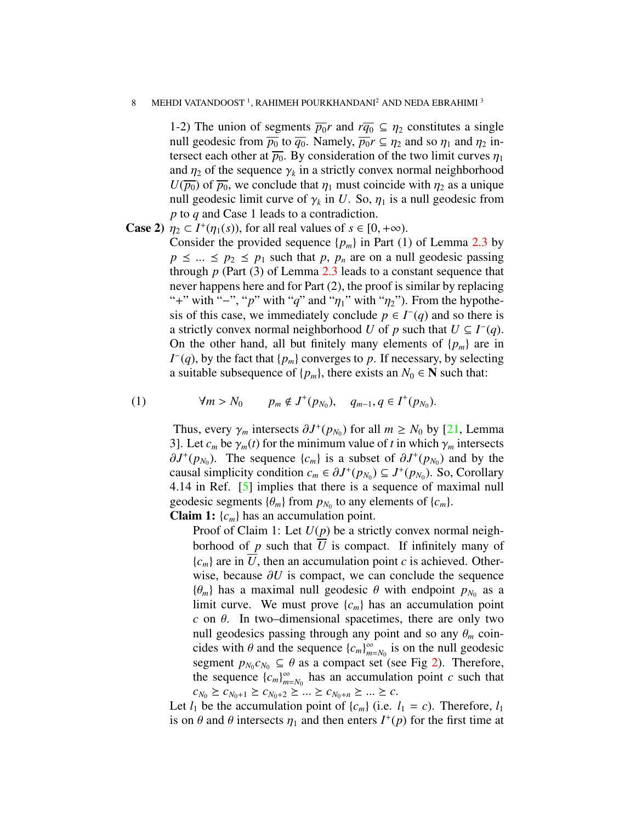#### 8 MEHDI VATANDOOST<sup>1</sup>, RAHIMEH POURKHANDANI<sup>2</sup> AND NEDA EBRAHIMI<sup>3</sup>

1-2) The union of segments  $\overline{p_0}r$  and  $r\overline{q_0} \subseteq \eta_2$  constitutes a single null geodesic from  $\overline{p_0}$  to  $\overline{q_0}$ . Namely,  $\overline{p_0}r \subseteq \eta_2$  and so  $\eta_1$  and  $\eta_2$  intersect each other at  $\overline{p_0}$ . By consideration of the two limit curves  $\eta_1$ and  $\eta_2$  of the sequence  $\gamma_k$  in a strictly convex normal neighborhood  $U(\overline{n_2})$  of  $\overline{n_2}$ , we conclude that *n*, must coincide with *n*<sub>2</sub> as a unique  $U(\overline{p_0})$  of  $\overline{p_0}$ , we conclude that  $\eta_1$  must coincide with  $\eta_2$  as a unique null geodesic limit curve of  $\gamma_k$  in *U*. So,  $\eta_1$  is a null geodesic from *n* to *a* and Case 1 leads to a contradiction *p* to *q* and Case 1 leads to a contradiction.

**Case 2)**  $\eta_2 \subset I^+(\eta_1(s))$ , for all real values of  $s \in [0, +\infty)$ .<br>Consider the provided sequence  $\{n\}$  in Part (1)

Consider the provided sequence  $\{p_m\}$  in Part (1) of Lemma [2.3](#page-5-2) by  $p \leq ... \leq p_2 \leq p_1$  such that *p*,  $p_n$  are on a null geodesic passing through *p* (Part (3) of Lemma [2.3](#page-5-2) leads to a constant sequence that never happens here and for Part (2), the proof is similar by replacing "+" with "-", "p" with "q" and " $\eta_1$ " with " $\eta_2$ "). From the hypothesis of this case, we immediately conclude  $p \in I^-(q)$  and so there is a strictly convex normal neighborhood *U* of *p* such that  $U \subseteq I^-(q)$ . On the other hand, all but finitely many elements of  $\{p_m\}$  are in  $I^-(q)$ , by the fact that { $p_m$ } converges to  $p$ . If necessary, by selecting a suitable subsequence of  $\{p_m\}$ , there exists an  $N_0 \in \mathbb{N}$  such that:

(1) 
$$
\forall m > N_0
$$
  $p_m \notin J^+(p_{N_0}), q_{m-1}, q \in I^+(p_{N_0}).$ 

Thus, every  $\gamma_m$  intersects  $\partial J^+(p_{N_0})$  for all  $m \ge N_0$  by [\[21,](#page-16-0) Lemma<br>31 Let c be  $\gamma$  (*t*) for the minimum value of *t* in which  $\gamma$  intersects 3]. Let  $c_m$  be  $\gamma_m(t)$  for the minimum value of t in which  $\gamma_m$  intersects  $\partial J^+(p_{N_0})$ . The sequence  $\{c_m\}$  is a subset of  $\partial J^+(p_{N_0})$  and by the causal simplicity condition  $c \in \partial J^+(p_N) \subset J^+(p_N)$ . So Corollary causal simplicity condition  $c_m \in \partial J^+(p_{N_0}) \subseteq J^+(p_{N_0})$ . So, Corollary<br>4.14 in Ref. [5] implies that there is a sequence of maximal null 4.14 in Ref. [\[5\]](#page-15-3) implies that there is a sequence of maximal null geodesic segments  $\{\theta_m\}$  from  $p_{N_0}$  to any elements of  $\{c_m\}$ .<br>Claim 1:  $\{c_n\}$  has an accumulation point

Claim 1: {*cm*} has an accumulation point.

Proof of Claim 1: Let *U*(*p*) be a strictly convex normal neighborhood of *p* such that *U* is compact. If infinitely many of  ${c<sub>m</sub>}$  are in *U*, then an accumulation point *c* is achieved. Otherwise, because ∂*<sup>U</sup>* is compact, we can conclude the sequence  ${\theta_m}$  has a maximal null geodesic  $\theta$  with endpoint  $p_{N_0}$  as a limit curve. We must prove  ${c}$  l has an accumulation point limit curve. We must prove  $\{c_m\}$  has an accumulation point *c* on  $\theta$ . In two–dimensional spacetimes, there are only two null geodesics passing through any point and so any  $\theta_m$  coincides with  $\theta$  and the sequence  ${c_m}_{m}^{\infty}$ <br>segment  $p_k$   $c_k$   $\in$   $\theta$  as a compact s  $\sum_{m=N_0}^{\infty}$  is on the null geodesic segment  $p_{N_0} c_{N_0} \subseteq \theta$  as a compact set (see Fig [2\)](#page-8-0). Therefore, the sequence  $\{c_i\}^{\infty}$  has an accumulation point c such that the sequence  ${c_m}_{m}^{\infty}$  $\sum_{m=N_0}^{\infty}$  has an accumulation point *c* such that  $c_{N_0} \ge c_{N_0+1} \ge c_{N_0+2} \ge \ldots \ge c_{N_0+n} \ge \ldots \ge c.$ 

Let  $l_1$  be the accumulation point of  $\{c_m\}$  (i.e.  $l_1 = c$ ). Therefore,  $l_1$ is on  $\theta$  and  $\theta$  intersects  $\eta_1$  and then enters  $I^+(p)$  for the first time at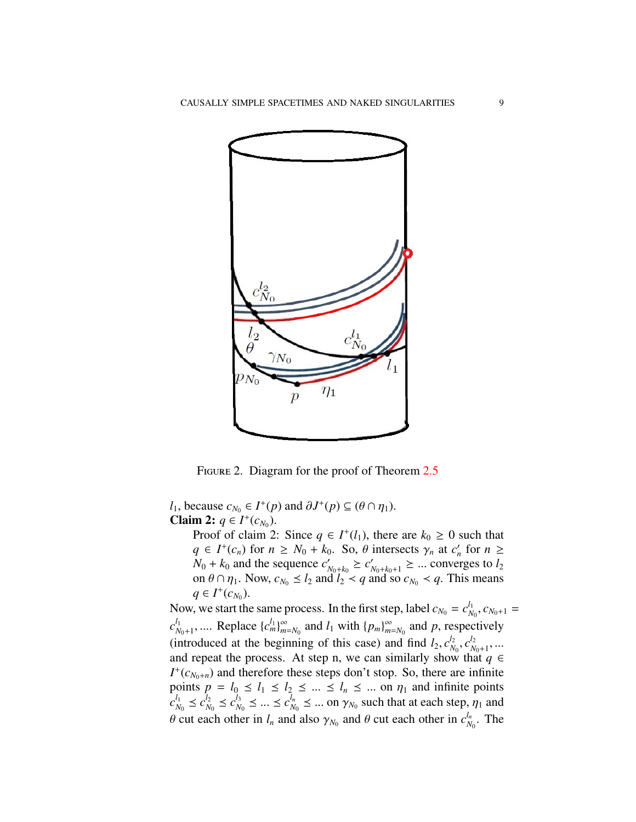

<span id="page-8-0"></span>FIGURE 2. Diagram for the proof of Theorem [2.5](#page-6-0)

*l*<sub>1</sub>, because  $c_{N_0} \in I^+(p)$  and  $\partial J^+(p) \subseteq (\theta \cap \eta_1)$ .<br>
Claim 2:  $a \in I^+(c_N)$ **Claim 2:**  $q \in I^+(c_{N_0})$ .

Proof of claim 2: Since  $q \in I^+(l_1)$ , there are  $k_0 \ge 0$  such that  $q \in I^+(c_n)$  for  $n \geq N_0 + k_0$ . So,  $\theta$  intersects  $\gamma_n$  at  $c'_n$  for  $n \geq N_0 + k_0$  and the sequence  $c' \geq c' \geq \infty$  converges to la  $N_0 + k_0$  and the sequence  $c'_0$  $C'_{N_0+k_0} \geq C'_{N_0+k_0+1} \geq \dots$  converges to *l*<sub>2</sub><br>d *l*<sub>2</sub>  $\lt a$  and so  $c_N \leq a$  This means on  $\theta \cap \eta_1$ . Now,  $c_{N_0} \le l_2$  and  $l_2 < q$  and so  $c_{N_0} < q$ . This means *q* ∈ *I*<sup>+</sup>( $c_{N_0}$ ).

Now, we start the same process. In the first step, label  $c_{N_0} = c_N^{l_1}$  $\frac{l_1}{N_0}, C_{N_0+1} =$  $c_{\scriptscriptstyle N}^{l_1}$  $\sum_{N_0+1}^{l_1}, \dots$  Replace  $\{c_m^{l_1}\}_{m=1}^{\infty}$  $\sum_{m=N_0}^{\infty}$  and  $l_1$  with  $\{p_m\}_{m=N_0}^{\infty}$  $\sum_{m=N_0}^{\infty}$  and *p*, respectively (introduced at the beginning of this case) and find  $l_2$ ,  $c_N^{l_2}$ <br>and repeat the process. At step p, we can similarly show  $\frac{l_2}{N_0}, c_N^{l_2}$ *N*0+1 and repeat the process. At step n, we can similarly show that  $q \in$  $I^+(c_{N_0+n})$  and therefore these steps don't stop. So, there are infinite points  $p = l_0 \le l_1 \le l_2 \le ... \le l_n \le ...$  on  $\eta_1$  and infinite points  $c_{N_0}^{l_1} \le c_{N_0}^{l_2} \le c_{N_0}^{l_3} \le ... \le c_{N_n}^{l_n} \le ...$  on  $\gamma_{N_0}$  such that at each step,  $\eta_1$  and  $\frac{l_1}{N_0} \leq c_N^{l_2}$  $\frac{l_2}{N_0} \leq c_N^{l_3}$  $l_0^{l_3} \leq ... \leq c_N^{l_n}$  $\gamma_{N_0}^{l_n} \leq ...$  on  $\gamma_{N_0}$  such that at each step,  $\eta_1$  and  $\theta$  cut each other in  $l_n$  and also  $\gamma_{N_0}$  and  $\theta$  cut each other in  $c_N^{l_n}$  $\frac{\mu_n}{N_0}$ . The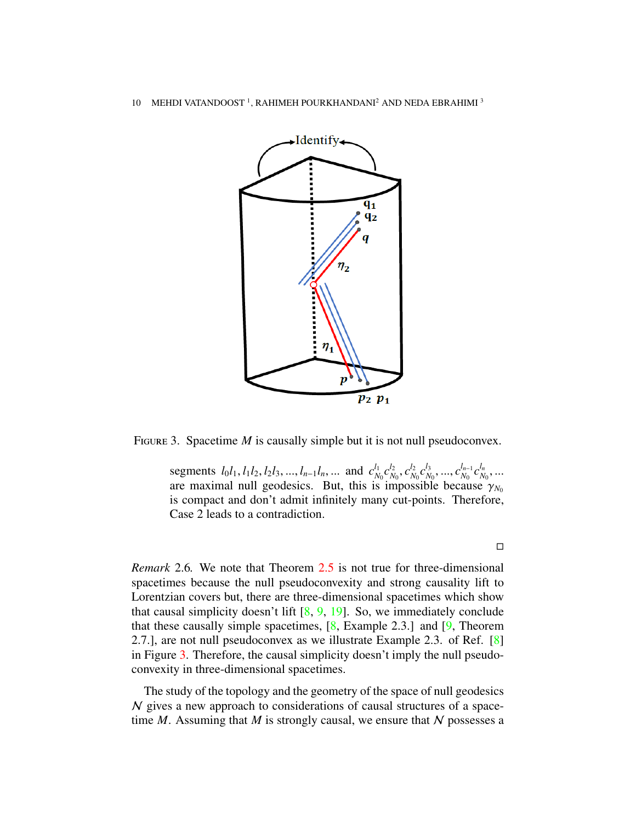

FIGURE 3. Spacetime *M* is causally simple but it is not null pseudoconvex.

<span id="page-9-0"></span>segments  $l_0l_1, l_1l_2, l_2l_3, ..., l_{n-1}l_n, ...$  and  $c_N^{l_1}$ <br>are maximal null geodesics. But this is  $\frac{l_1}{N_0}c_N^{l_2}$  $\frac{l_2}{N_0}, c_N^{l_2}$  $\frac{l_2}{N_0} c_N^{l_3}$ *l*<sub>3</sub> ..., *c*<sup>*l*<sub>n−1</sub></sup><br>∩le\_becau  $\frac{l_{n-1}}{N_0}$   $c_N^{l_n}$  $\sum_{N_0} P_{N_0}, \dots, P_{N_0} P_{N_0}, \dots, P_{N_0} P_{N_0}, \dots, P_{N_0} P_{N_0}, \dots$ <br>are maximal null geodesics. But, this is impossible because  $\gamma_{N_0}$ <br>is compact and don't admit infinitely many cut-points. Therefore is compact and don't admit infinitely many cut-points. Therefore, Case 2 leads to a contradiction.

*Remark* 2.6*.* We note that Theorem [2.5](#page-6-0) is not true for three-dimensional spacetimes because the null pseudoconvexity and strong causality lift to Lorentzian covers but, there are three-dimensional spacetimes which show that causal simplicity doesn't lift  $[8, 9, 19]$  $[8, 9, 19]$  $[8, 9, 19]$  $[8, 9, 19]$  $[8, 9, 19]$ . So, we immediately conclude that these causally simple spacetimes,  $[8, \text{Example 2.3.}]$  $[8, \text{Example 2.3.}]$  and  $[9, \text{Theorem}$  $[9, \text{Theorem}$ 2.7.], are not null pseudoconvex as we illustrate Example 2.3. of Ref. [\[8\]](#page-15-15) in Figure [3.](#page-9-0) Therefore, the causal simplicity doesn't imply the null pseudoconvexity in three-dimensional spacetimes.

The study of the topology and the geometry of the space of null geodesics N gives a new approach to considerations of causal structures of a spacetime  $M$ . Assuming that  $M$  is strongly causal, we ensure that  $N$  possesses a

 $\Box$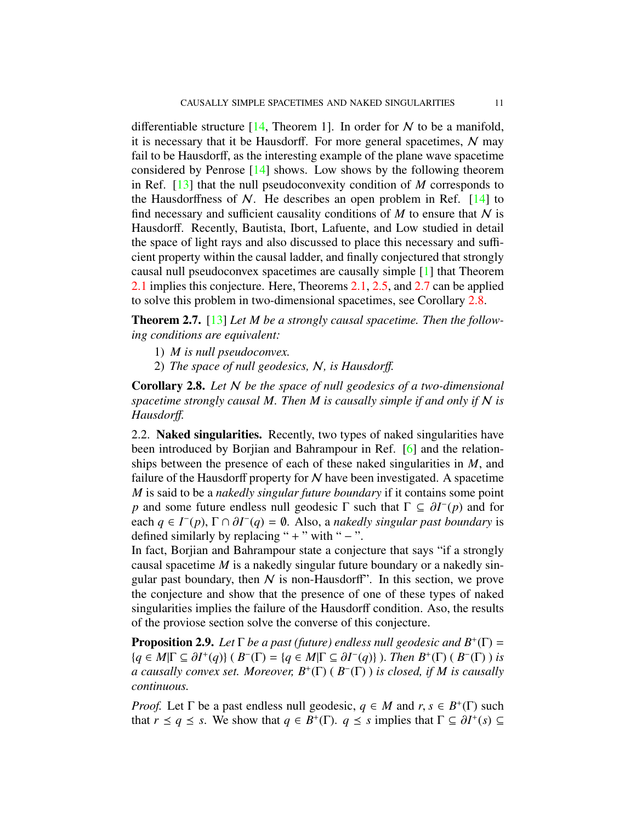differentiable structure [\[14,](#page-15-16) Theorem 1]. In order for  $N$  to be a manifold, it is necessary that it be Hausdorff. For more general spacetimes,  $N$  may fail to be Hausdorff, as the interesting example of the plane wave spacetime considered by Penrose [\[14\]](#page-15-16) shows. Low shows by the following theorem in Ref. [\[13\]](#page-15-5) that the null pseudoconvexity condition of *M* corresponds to the Hausdorffness of  $N$ . He describes an open problem in Ref. [\[14\]](#page-15-16) to find necessary and sufficient causality conditions of  $M$  to ensure that  $N$  is Hausdorff. Recently, Bautista, Ibort, Lafuente, and Low studied in detail the space of light rays and also discussed to place this necessary and sufficient property within the causal ladder, and finally conjectured that strongly causal null pseudoconvex spacetimes are causally simple [\[1\]](#page-15-9) that Theorem [2.1](#page-4-1) implies this conjecture. Here, Theorems [2.1,](#page-4-1) [2.5,](#page-6-0) and [2.7](#page-10-0) can be applied to solve this problem in two-dimensional spacetimes, see Corollary [2.8.](#page-10-1)

<span id="page-10-0"></span>Theorem 2.7. [\[13\]](#page-15-5) *Let M be a strongly causal spacetime. Then the following conditions are equivalent:*

- 1) *M is null pseudoconvex.*
- 2) *The space of null geodesics,* N*, is Hausdor*ff*.*

<span id="page-10-1"></span>Corollary 2.8. *Let* N *be the space of null geodesics of a two-dimensional spacetime strongly causal M. Then M is causally simple if and only if* N *is Hausdor*ff*.*

2.2. Naked singularities. Recently, two types of naked singularities have been introduced by Borjian and Bahrampour in Ref. [\[6\]](#page-15-7) and the relationships between the presence of each of these naked singularities in *M*, and failure of the Hausdorff property for  $N$  have been investigated. A spacetime *M* is said to be a *nakedly singular future boundary* if it contains some point *p* and some future endless null geodesic  $\Gamma$  such that  $\Gamma \subseteq \partial I^-(p)$  and for each  $a \in I^-(p)$   $\Gamma \cap \partial I^-(a) = \emptyset$ . Also a nakedly singular nast houndary is each  $q \in I^-(p)$ ,  $\Gamma \cap \partial I^-(q) = \emptyset$ . Also, a *nakedly singular past boundary* is defined similarly by replacing " + " with " – " defined similarly by replacing " + " with "  $-$ ".

In fact, Borjian and Bahrampour state a conjecture that says "if a strongly causal spacetime *M* is a nakedly singular future boundary or a nakedly singular past boundary, then  $N$  is non-Hausdorff". In this section, we prove the conjecture and show that the presence of one of these types of naked singularities implies the failure of the Hausdorff condition. Aso, the results of the proviose section solve the converse of this conjecture.

<span id="page-10-2"></span>**Proposition 2.9.** *Let*  $\Gamma$  *be a past (future) endless null geodesic and*  $B^+(\Gamma)$  =  ${q \in M | \Gamma \subseteq \partial I^+(q)}$  ( $B^-(\Gamma) = {q \in M | \Gamma \subseteq \partial I^-(q)}$ ). *Then*  $B^+(\Gamma)$  ( $B^-(\Gamma)$ ) *is*<br>*a causally convex set Moreover*  $B^+(\Gamma)$  ( $B^-(\Gamma)$ ) *is closed if M is causally a causally convex set. Moreover, B*<sup>+</sup> (Γ) ( *B* − (Γ) ) *is closed, if M is causally continuous.*

*Proof.* Let  $\Gamma$  be a past endless null geodesic,  $q \in M$  and  $r, s \in B^+(\Gamma)$  such that  $r \leq a \leq s$ . We show that  $q \in B^+(\Gamma)$ ,  $q \leq s$  implies that  $\Gamma \subset \partial I^+(s)$ . that *r*  $\leq q \leq s$ . We show that *q*  $\in$  *B*<sup>+</sup>( $\Gamma$ ). *q*  $\leq$  *s* implies that  $\Gamma \subseteq \partial I^+(s) \subseteq$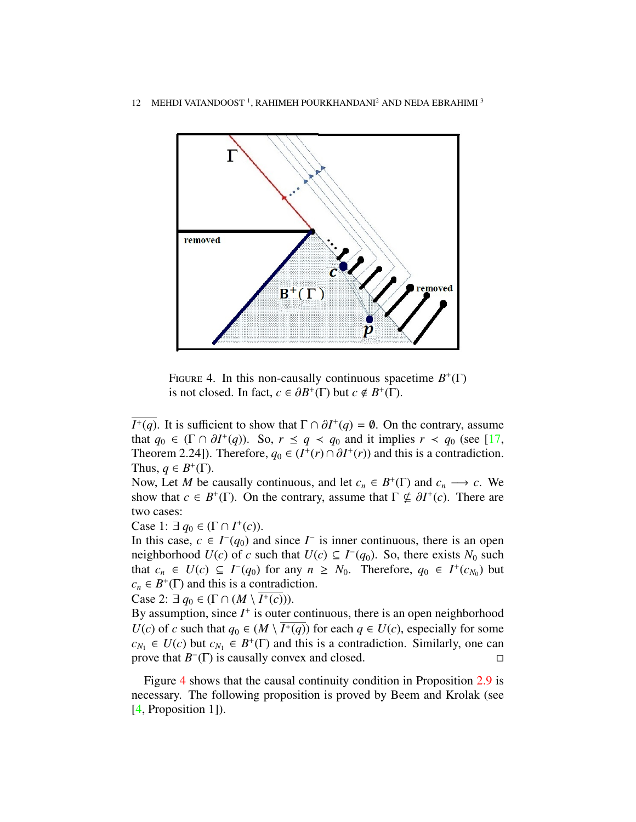

<span id="page-11-0"></span>FIGURE 4. In this non-causally continuous spacetime  $B^+(\Gamma)$ is not closed. In fact,  $c \in \partial B^+(\Gamma)$  but  $c \notin B^+(\Gamma)$ .

*I*<sup>+</sup>(*q*). It is sufficient to show that  $\Gamma \cap \partial I^+(q) = \emptyset$ . On the contrary, assume that  $a_0 \in (\Gamma \cap \partial I^+(q))$ . So  $r \le a \le a_0$  and it implies  $r \le a_0$  (see [17] that  $q_0 \in (\Gamma \cap \partial I^+(q))$ . So,  $r \le q < q_0$  and it implies  $r < q_0$  (see [\[17,](#page-15-10) Theorem 2.241). Therefore  $q_0 \in (I^+(r) \cap \partial I^+(r))$  and this is a contradiction Theorem 2.24]). Therefore,  $q_0 \in (I^+(r) \cap \partial I^+(r))$  and this is a contradiction.<br>Thus  $q \in R^+(T)$ Thus,  $q \in B^+(\Gamma)$ .

Now, Let *M* be causally continuous, and let  $c_n \in B^+(\Gamma)$  and  $c_n \longrightarrow c$ . We show that  $c \in B^+(\Gamma)$ . On the contrary, assume that  $\Gamma \nsubseteq \partial I^+(c)$ . There are two cases: two cases:

Case 1:  $\exists q_0 \in (\Gamma \cap I^+(c)).$ 

In this case,  $c \text{ ∈ } I^-(q_0)$  and since  $I^-$  is inner continuous, there is an open neighborhood  $U(c)$  of *c* such that  $U(c) \subseteq I^-(q_0)$ . So, there exists  $N_0$  such that  $c_n \in U(c) \subseteq I^-(q_0)$  for any  $n \geq N_0$ . Therefore,  $q_0 \in I^+(c_{N_0})$  but  $c_n \in B^+(\Gamma)$  and this is a contradiction.

Case 2:  $\exists q_0 \in (\Gamma \cap (M \setminus \overline{I^+(c)})).$ 

By assumption, since  $I^+$  is outer continuous, there is an open neighborhood *U*(*c*) of *c* such that  $q_0 \in (M \setminus \overline{I^+(q)})$  for each  $q \in U(c)$ , especially for some  $c_{N_1} \in U(c)$  but  $c_{N_1} \in B^+(\Gamma)$  and this is a contradiction. Similarly, one can prove that  $B^{-}(\Gamma)$  is causally convex and closed.  $\square$ 

Figure [4](#page-11-0) shows that the causal continuity condition in Proposition [2.9](#page-10-2) is necessary. The following proposition is proved by Beem and Krolak (see [\[4,](#page-15-2) Proposition 1]).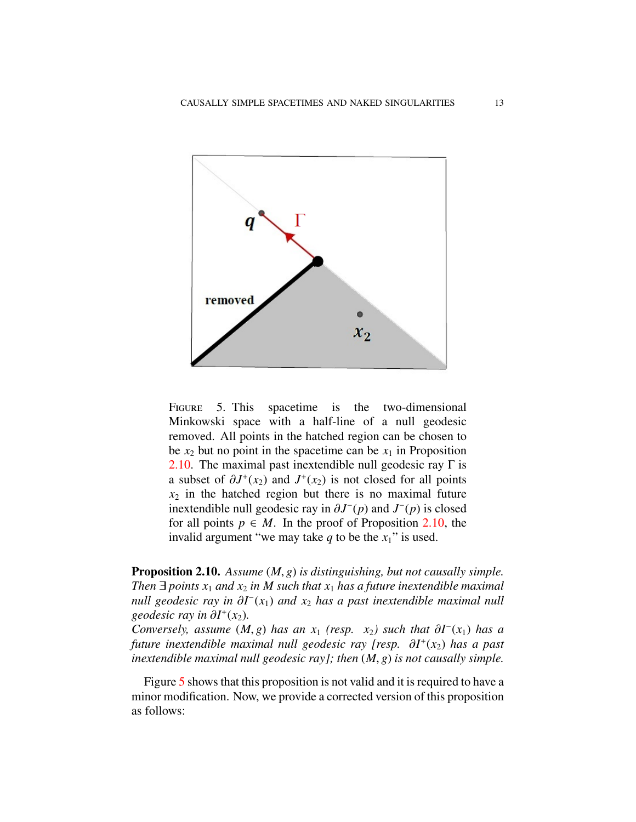

<span id="page-12-1"></span>FIGURE 5. This spacetime is the two-dimensional Minkowski space with a half-line of a null geodesic removed. All points in the hatched region can be chosen to be  $x_2$  but no point in the spacetime can be  $x_1$  in Proposition [2.10.](#page-12-0) The maximal past inextendible null geodesic ray  $\Gamma$  is a subset of  $\partial J^+(x_2)$  and  $J^+(x_2)$  is not closed for all points  $x_2$  in the hatched region but there is no maximal future  $x_2$  in the hatched region but there is no maximal future inextendible null geodesic ray in  $\partial J^-(p)$  and  $J^-(p)$  is closed<br>for all points  $p \in M$ . In the proof of Proposition 2.10, the for all points  $p \in M$ . In the proof of Proposition [2.10,](#page-12-0) the invalid argument "we may take  $q$  to be the  $x_1$ " is used.

<span id="page-12-0"></span>Proposition 2.10. *Assume* (*M*, *<sup>g</sup>*) *is distinguishing, but not causally simple. Then*  $\exists$  *points*  $x_1$  *and*  $x_2$  *in M* such that  $x_1$  *has a future inextendible maximal null geodesic ray in ∂I*<sup>-</sup>( $x$ <sub>1</sub>) *and*  $x$ <sub>2</sub> *has a past inextendible maximal null*<br>geodesic ray in ∂I<sup>+</sup>( $x$ <sub>2</sub>) *geodesic ray in ∂I*<sup>+</sup>(*x*<sub>2</sub>).<br>Conversely assume (M

*Conversely, assume*  $(M, g)$  *has an x*<sub>1</sub> *(resp. x*<sub>2</sub>*) such that*  $\partial I^{-}(x_1)$  *has a d future inextendible maximal null geodesic ray [resp.*  $\partial I^{+}(x_1)$  *has a nast future inextendible maximal null geodesic ray [resp.* ∂*<sup>I</sup>* + (*x*2) *has a past inextendible maximal null geodesic ray]; then* (*M*, *<sup>g</sup>*) *is not causally simple.*

Figure [5](#page-12-1) shows that this proposition is not valid and it is required to have a minor modification. Now, we provide a corrected version of this proposition as follows: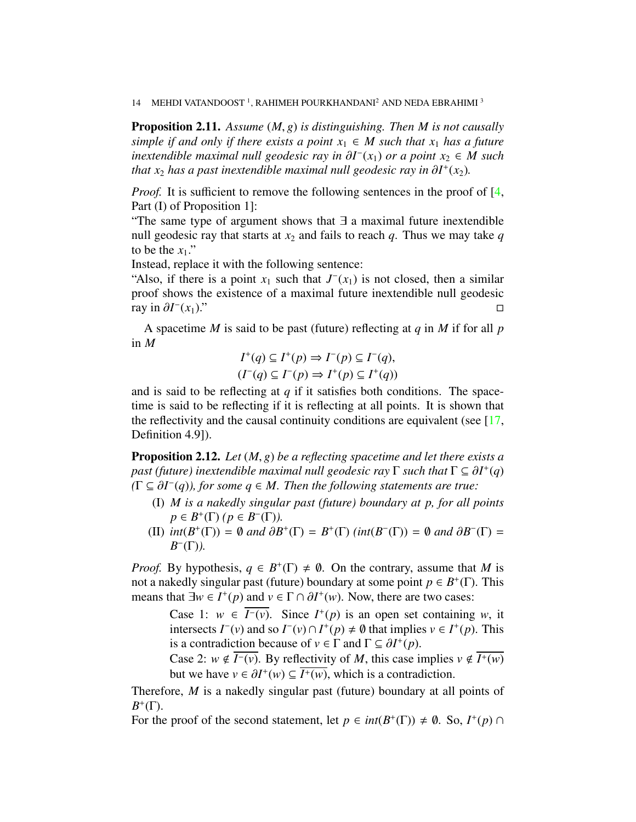14 MEHDI VATANDOOST<sup>1</sup>, RAHIMEH POURKHANDANI<sup>2</sup> AND NEDA EBRAHIMI<sup>3</sup>

<span id="page-13-0"></span>Proposition 2.11. *Assume* (*M*, *<sup>g</sup>*) *is distinguishing. Then M is not causally simple if and only if there exists a point*  $x_1 \in M$  *such that*  $x_1$  *has a future inextendible maximal null geodesic ray in*  $\partial I^-(x_1)$  *or a point*  $x_2 \in M$  such that x, has a post inextendible maximal null geodesic ray in  $\partial I^+(x_2)$ *that x*<sub>2</sub> *has a past inextendible maximal null geodesic ray in*  $\partial I^+(x_2)$ *.* 

*Proof.* It is sufficient to remove the following sentences in the proof of [\[4,](#page-15-2) Part (I) of Proposition 1]:

"The same type of argument shows that ∃ a maximal future inextendible null geodesic ray that starts at  $x_2$  and fails to reach  $q$ . Thus we may take  $q$ to be the  $x_1$ ."

Instead, replace it with the following sentence:

"Also, if there is a point  $x_1$  such that  $J^-(x_1)$  is not closed, then a similar proof shows the existence of a maximal future inextendible null geodesic ray in ∂*<sup>I</sup>* − (*x*1)."

A spacetime *M* is said to be past (future) reflecting at *q* in *M* if for all *p* in *M*

$$
I^+(q) \subseteq I^+(p) \Rightarrow I^-(p) \subseteq I^-(q),
$$
  

$$
(I^-(q) \subseteq I^-(p) \Rightarrow I^+(p) \subseteq I^+(q))
$$

and is said to be reflecting at *q* if it satisfies both conditions. The spacetime is said to be reflecting if it is reflecting at all points. It is shown that the reflectivity and the causal continuity conditions are equivalent (see  $[17, 17]$  $[17, 17]$ Definition 4.9]).

<span id="page-13-1"></span>Proposition 2.12. *Let* (*M*, *<sup>g</sup>*) *be a reflecting spacetime and let there exists a past (future) inextendible maximal null geodesic ray*  $\Gamma$  *such that*  $\Gamma \subseteq \partial I^+(q)$ <br>( $\Gamma \subseteq \partial I^-(q)$ ) for some  $q \in M$ . Then the following statements are true:  $(\Gamma \subseteq \partial I^-(q))$ , for some  $q \in M$ . Then the following statements are true:<br>(*C*) *M* is a nakedly singular neat (future) hourdam at n for all n

- (I) *M is a nakedly singular past (future) boundary at p, for all points p* ∈ *B*<sup>+</sup>( $\Gamma$ ) (*p* ∈ *B*<sup>−</sup>( $\Gamma$ )).
- (II)  $int(B^+(\Gamma)) = \emptyset$  and  $\partial B^+(\Gamma) = B^+(\Gamma)$  ( $int(B^-(\Gamma)) = \emptyset$  and  $\partial B^-(\Gamma) = B^-(\Gamma)$ ) *B* − (Γ)*).*

*Proof.* By hypothesis,  $q \in B^+(\Gamma) \neq \emptyset$ . On the contrary, assume that *M* is not a nakedly singular past (future) boundary at some point  $p \in B^+(\Gamma)$ . This means that  $\exists w \in I^+(p)$  and  $v \in \Gamma \cap \partial I^+(w)$ . Now, there are two cases:

Case 1: *w* ∈  $\overline{I^{-}(v)}$ . Since  $I^{+}(p)$  is an open set containing *w*, it intersects  $I^-(v)$  and so  $I^-(v) \cap I^+(p) \neq \emptyset$  that implies  $v \in I^+(p)$ . This is a contradiction because of  $v \in \Gamma$  and  $\Gamma \subseteq \partial I^+(p)$ .<br>Case 2:  $w \notin \overline{I^-(v)}$ . By reflectivity of *M* this case is

Case 2:  $w \notin \overline{I^-(v)}$ . By reflectivity of *M*, this case implies  $v \notin \overline{I^+(w)}$ but we have  $v \in \partial I^+(w) \subseteq \overline{I^+(w)}$ , which is a contradiction.

Therefore, *M* is a nakedly singular past (future) boundary at all points of  $B^+(\Gamma)$ .

For the proof of the second statement, let  $p \in int(B^+(\Gamma)) \neq \emptyset$ . So,  $I^+(p) \cap$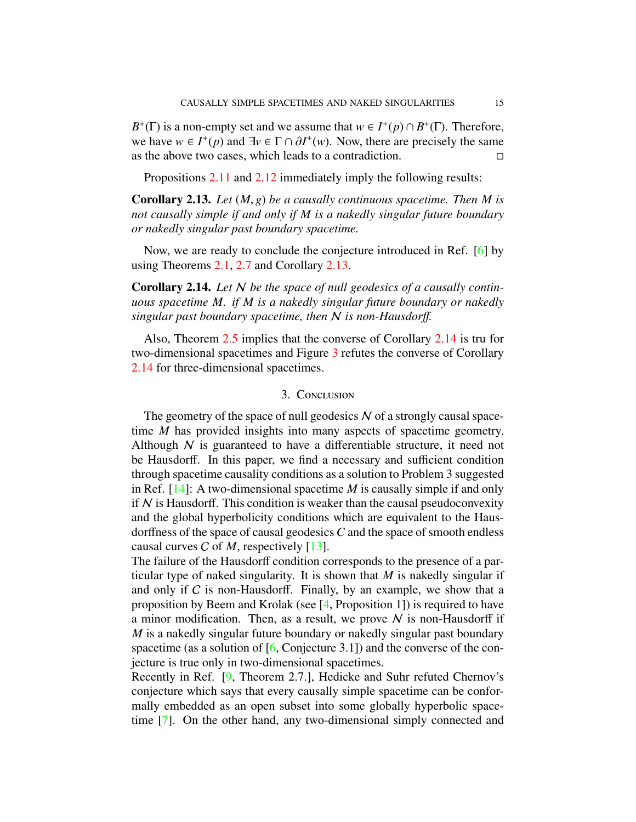*B*<sup>+</sup>(Γ) is a non-empty set and we assume that  $w \in I^+(p) \cap B^+(\Gamma)$ . Therefore, we have  $w \in I^+(p)$  and  $\exists v \in \Gamma \cap \partial I^+(w)$ . Now, there are precisely the same as the above two cases which leads to a contradiction as the above two cases, which leads to a contradiction.

Propositions [2.11](#page-13-0) and [2.12](#page-13-1) immediately imply the following results:

<span id="page-14-0"></span>Corollary 2.13. *Let* (*M*, *<sup>g</sup>*) *be a causally continuous spacetime. Then M is not causally simple if and only if M is a nakedly singular future boundary or nakedly singular past boundary spacetime.*

Now, we are ready to conclude the conjecture introduced in Ref. [\[6\]](#page-15-7) by using Theorems [2.1,](#page-4-1) [2.7](#page-10-0) and Corollary [2.13.](#page-14-0)

<span id="page-14-1"></span>Corollary 2.14. *Let* N *be the space of null geodesics of a causally continuous spacetime M. if M is a nakedly singular future boundary or nakedly singular past boundary spacetime, then* N *is non-Hausdor*ff*.*

Also, Theorem [2.5](#page-6-0) implies that the converse of Corollary [2.14](#page-14-1) is tru for two-dimensional spacetimes and Figure [3](#page-9-0) refutes the converse of Corollary [2.14](#page-14-1) for three-dimensional spacetimes.

## 3. Conclusion

The geometry of the space of null geodesics  $N$  of a strongly causal spacetime *M* has provided insights into many aspects of spacetime geometry. Although  $N$  is guaranteed to have a differentiable structure, it need not be Hausdorff. In this paper, we find a necessary and sufficient condition through spacetime causality conditions as a solution to Problem 3 suggested in Ref. [\[14\]](#page-15-16): A two-dimensional spacetime *M* is causally simple if and only if  $N$  is Hausdorff. This condition is weaker than the causal pseudoconvexity and the global hyperbolicity conditions which are equivalent to the Hausdorffness of the space of causal geodesics *C* and the space of smooth endless causal curves C of *M*, respectively [\[13\]](#page-15-5).

The failure of the Hausdorff condition corresponds to the presence of a particular type of naked singularity. It is shown that *M* is nakedly singular if and only if  $C$  is non-Hausdorff. Finally, by an example, we show that a proposition by Beem and Krolak (see [\[4,](#page-15-2) Proposition 1]) is required to have a minor modification. Then, as a result, we prove  $N$  is non-Hausdorff if *M* is a nakedly singular future boundary or nakedly singular past boundary spacetime (as a solution of [\[6,](#page-15-7) Conjecture 3.1]) and the converse of the conjecture is true only in two-dimensional spacetimes.

Recently in Ref. [\[9,](#page-15-14) Theorem 2.7.], Hedicke and Suhr refuted Chernov's conjecture which says that every causally simple spacetime can be conformally embedded as an open subset into some globally hyperbolic spacetime [\[7\]](#page-15-17). On the other hand, any two-dimensional simply connected and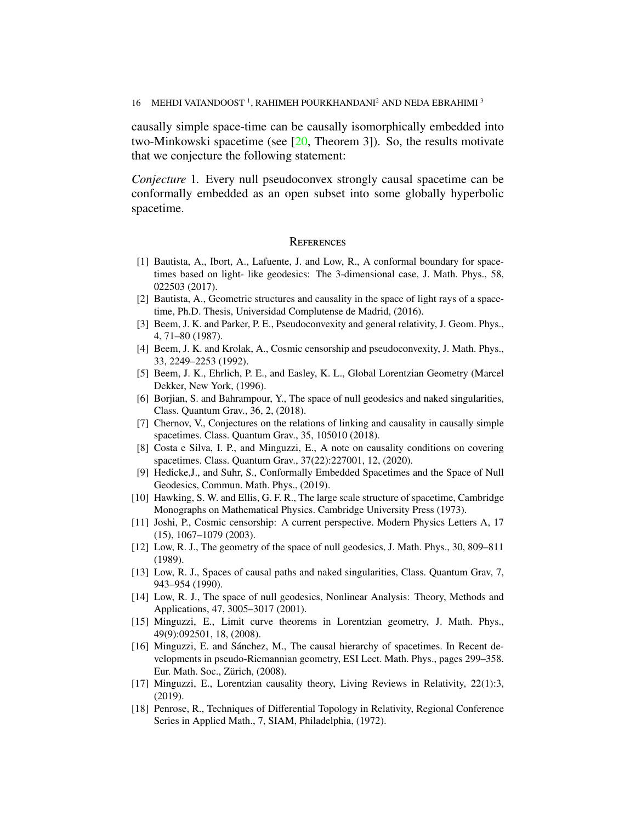causally simple space-time can be causally isomorphically embedded into two-Minkowski spacetime (see [\[20,](#page-16-2) Theorem 3]). So, the results motivate that we conjecture the following statement:

*Conjecture* 1*.* Every null pseudoconvex strongly causal spacetime can be conformally embedded as an open subset into some globally hyperbolic spacetime.

## **REFERENCES**

- <span id="page-15-9"></span>[1] Bautista, A., Ibort, A., Lafuente, J. and Low, R., A conformal boundary for spacetimes based on light- like geodesics: The 3-dimensional case, J. Math. Phys., 58, 022503 (2017).
- <span id="page-15-6"></span>[2] Bautista, A., Geometric structures and causality in the space of light rays of a spacetime, Ph.D. Thesis, Universidad Complutense de Madrid, (2016).
- <span id="page-15-1"></span>[3] Beem, J. K. and Parker, P. E., Pseudoconvexity and general relativity, J. Geom. Phys., 4, 71–80 (1987).
- <span id="page-15-2"></span>[4] Beem, J. K. and Krolak, A., Cosmic censorship and pseudoconvexity, J. Math. Phys., 33, 2249–2253 (1992).
- <span id="page-15-3"></span>[5] Beem, J. K., Ehrlich, P. E., and Easley, K. L., Global Lorentzian Geometry (Marcel Dekker, New York, (1996).
- <span id="page-15-7"></span>[6] Borjian, S. and Bahrampour, Y., The space of null geodesics and naked singularities, Class. Quantum Grav., 36, 2, (2018).
- <span id="page-15-17"></span>[7] Chernov, V., Conjectures on the relations of linking and causality in causally simple spacetimes. Class. Quantum Grav., 35, 105010 (2018).
- <span id="page-15-15"></span>[8] Costa e Silva, I. P., and Minguzzi, E., A note on causality conditions on covering spacetimes. Class. Quantum Grav., 37(22):227001, 12, (2020).
- <span id="page-15-14"></span>[9] Hedicke,J., and Suhr, S., Conformally Embedded Spacetimes and the Space of Null Geodesics, Commun. Math. Phys., (2019).
- <span id="page-15-12"></span>[10] Hawking, S. W. and Ellis, G. F. R., The large scale structure of spacetime, Cambridge Monographs on Mathematical Physics. Cambridge University Press (1973).
- <span id="page-15-0"></span>[11] Joshi, P., Cosmic censorship: A current perspective. Modern Physics Letters A, 17 (15), 1067–1079 (2003).
- <span id="page-15-4"></span>[12] Low, R. J., The geometry of the space of null geodesics, J. Math. Phys., 30, 809–811 (1989).
- <span id="page-15-5"></span>[13] Low, R. J., Spaces of causal paths and naked singularities, Class. Quantum Grav, 7, 943–954 (1990).
- <span id="page-15-16"></span>[14] Low, R. J., The space of null geodesics, Nonlinear Analysis: Theory, Methods and Applications, 47, 3005–3017 (2001).
- <span id="page-15-11"></span>[15] Minguzzi, E., Limit curve theorems in Lorentzian geometry, J. Math. Phys., 49(9):092501, 18, (2008).
- <span id="page-15-8"></span>[16] Minguzzi, E. and Sanchez, M., The causal hierarchy of spacetimes. In Recent de- ´ velopments in pseudo-Riemannian geometry, ESI Lect. Math. Phys., pages 299–358. Eur. Math. Soc., Zürich,  $(2008)$ .
- <span id="page-15-10"></span>[17] Minguzzi, E., Lorentzian causality theory, Living Reviews in Relativity, 22(1):3, (2019).
- <span id="page-15-13"></span>[18] Penrose, R., Techniques of Differential Topology in Relativity, Regional Conference Series in Applied Math., 7, SIAM, Philadelphia, (1972).